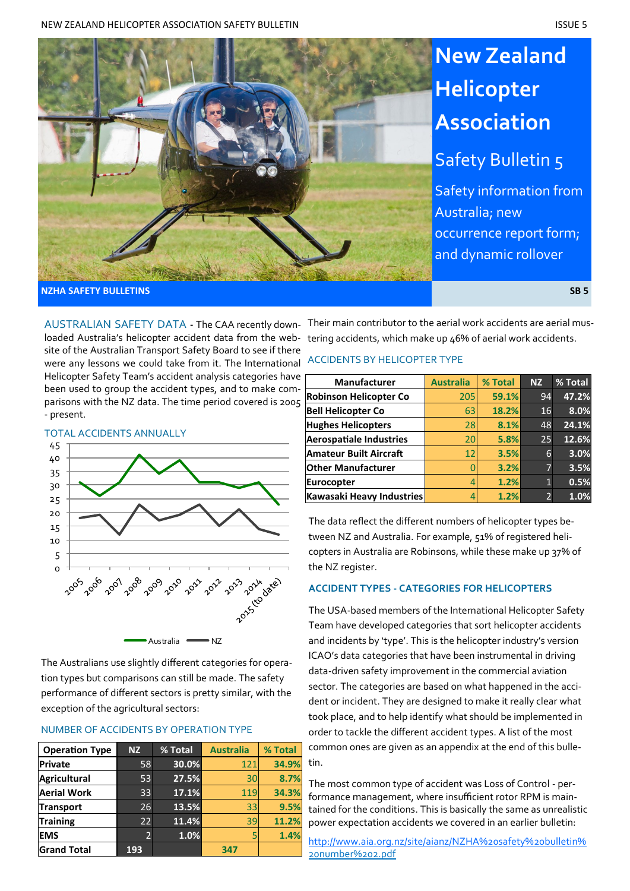

Safety information from Australia; new occurrence report form; and dynamic rollover

**NZHA SAFETY BULLETINS SB 5**

loaded Australia's helicopter accident data from the website of the Australian Transport Safety Board to see if there were any lessons we could take from it. The International Helicopter Safety Team's accident analysis categories have been used to group the accident types, and to make comparisons with the NZ data. The time period covered is 2005 - present.

TOTAL ACCIDENTS ANNUALLY 45 40 35 30 25 20 15 10 5  $\Omega$ ్రం<sub>స</sub>్టం<sub>లో సర్వ</sub>ంల<sub>ుర్చ</sub>ు స్తున్నంస్తు Australia **WALES** NZ

The Australians use slightly different categories for operation types but comparisons can still be made. The safety performance of different sectors is pretty similar, with the exception of the agricultural sectors:

### NUMBER OF ACCIDENTS BY OPERATION TYPE

| <b>Operation Type</b> | <b>NZ</b> | % Total | <b>Australia</b> | % Total |
|-----------------------|-----------|---------|------------------|---------|
| <b>Private</b>        | 58        | 30.0%   | 121              | 34.9%   |
| <b>Agricultural</b>   | 53        | 27.5%   | 30               | 8.7%    |
| <b>Aerial Work</b>    | 33        | 17.1%   | 119              | 34.3%   |
| <b>Transport</b>      | 26        | 13.5%   | 33               | 9.5%    |
| <b>Training</b>       | 22        | 11.4%   | 39               | 11.2%   |
| <b>EMS</b>            |           | 1.0%    |                  | 1.4%    |
| <b>Grand Total</b>    | 193       |         | 347              |         |

AUSTRALIAN SAFETY DATA **-** The CAA recently down-Their main contributor to the aerial work accidents are aerial mustering accidents, which make up 46% of aerial work accidents.

# ACCIDENTS BY HELICOPTER TYPE

| <b>Manufacturer</b>            | <b>Australia</b> | % Total | <b>NZ</b>      | % Total |
|--------------------------------|------------------|---------|----------------|---------|
| <b>Robinson Helicopter Co</b>  | 205              | 59.1%   | 94             | 47.2%   |
| <b>Bell Helicopter Co</b>      | 63               | 18.2%   | 16             | 8.0%    |
| <b>Hughes Helicopters</b>      | 28               | 8.1%    | 48             | 24.1%   |
| <b>Aerospatiale Industries</b> | 20               | 5.8%    | 25             | 12.6%   |
| <b>Amateur Built Aircraft</b>  | 12               | 3.5%    | 6              | 3.0%    |
| <b>Other Manufacturer</b>      |                  | 3.2%    | 7              | 3.5%    |
| <b>Eurocopter</b>              |                  | 1.2%    | $\mathbf{1}$   | 0.5%    |
| Kawasaki Heavy Industries      |                  | 1.2%    | $\overline{2}$ | 1.0%    |

The data reflect the different numbers of helicopter types between NZ and Australia. For example, 51% of registered helicopters in Australia are Robinsons, while these make up 37% of the NZ register.

# **ACCIDENT TYPES - CATEGORIES FOR HELICOPTERS**

The USA-based members of the International Helicopter Safety Team have developed categories that sort helicopter accidents and incidents by 'type'. This is the helicopter industry's version ICAO's data categories that have been instrumental in driving data-driven safety improvement in the commercial aviation sector. The categories are based on what happened in the accident or incident. They are designed to make it really clear what took place, and to help identify what should be implemented in order to tackle the different accident types. A list of the most common ones are given as an appendix at the end of this bulletin.

The most common type of accident was Loss of Control - performance management, where insufficient rotor RPM is maintained for the conditions. This is basically the same as unrealistic power expectation accidents we covered in an earlier bulletin:

[http://www.aia.org.nz/site/aianz/NZHA%20safety%20bulletin%](http://www.aia.org.nz/site/aianz/NZHA%20safety%20bulletin%20number%202.pdf) 20number%202.pdf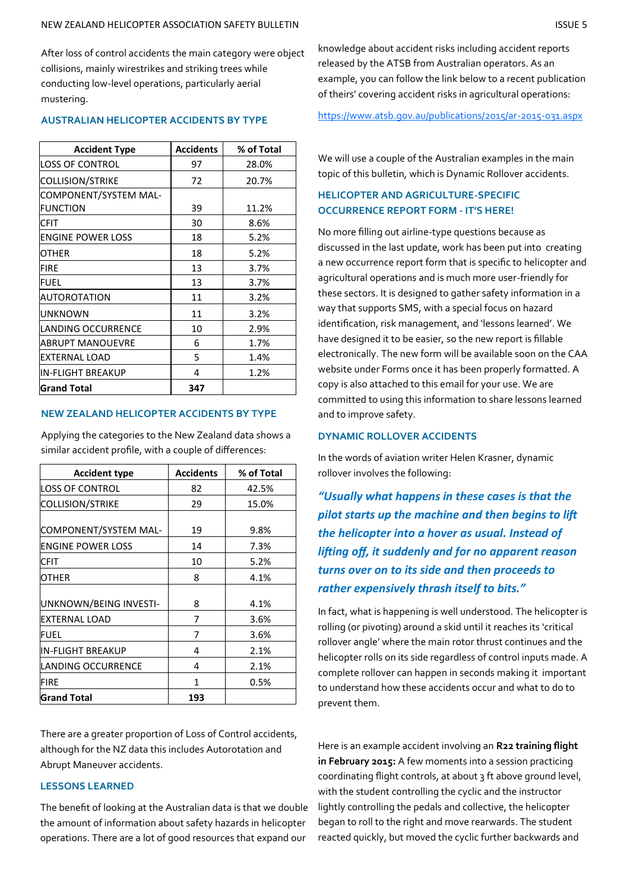After loss of control accidents the main category were object collisions, mainly wirestrikes and striking trees while conducting low-level operations, particularly aerial mustering.

## **AUSTRALIAN HELICOPTER ACCIDENTS BY TYPE**

| <b>Accident Type</b>     | <b>Accidents</b> | % of Total |
|--------------------------|------------------|------------|
| <b>LOSS OF CONTROL</b>   | 97               | 28.0%      |
| <b>COLLISION/STRIKE</b>  | 72               | 20.7%      |
| COMPONENT/SYSTEM MAL-    |                  |            |
| <b>FUNCTION</b>          | 39               | 11.2%      |
| CFIT                     | 30               | 8.6%       |
| <b>ENGINE POWER LOSS</b> | 18               | 5.2%       |
| OTHER                    | 18               | 5.2%       |
| <b>FIRE</b>              | 13               | 3.7%       |
| <b>FUEL</b>              | 13               | 3.7%       |
| <b>AUTOROTATION</b>      | 11               | 3.2%       |
| <b>UNKNOWN</b>           | 11               | 3.2%       |
| LANDING OCCURRENCE       | 10               | 2.9%       |
| ABRUPT MANOUEVRE         | 6                | 1.7%       |
| <b>EXTERNAL LOAD</b>     | 5                | 1.4%       |
| <b>IN-FLIGHT BREAKUP</b> | 4                | 1.2%       |
| <b>Grand Total</b>       | 347              |            |

# **NEW ZEALAND HELICOPTER ACCIDENTS BY TYPE**

Applying the categories to the New Zealand data shows a similar accident profile, with a couple of differences:

| <b>Accident type</b>     | <b>Accidents</b> | % of Total |
|--------------------------|------------------|------------|
| <b>LOSS OF CONTROL</b>   | 82               | 42.5%      |
| <b>COLLISION/STRIKE</b>  | 29               | 15.0%      |
|                          |                  |            |
| COMPONENT/SYSTEM MAL-    | 19               | 9.8%       |
| <b>ENGINE POWER LOSS</b> | 14               | 7.3%       |
| <b>CFIT</b>              | 10               | 5.2%       |
| <b>OTHER</b>             | 8                | 4.1%       |
|                          |                  |            |
| UNKNOWN/BEING INVESTI-   | 8                | 4.1%       |
| <b>EXTERNAL LOAD</b>     | 7                | 3.6%       |
| <b>FUEL</b>              | 7                | 3.6%       |
| <b>IN-FLIGHT BREAKUP</b> | 4                | 2.1%       |
| LANDING OCCURRENCE       | 4                | 2.1%       |
| FIRE                     | 1                | $0.5\%$    |
| <b>Grand Total</b>       | 193              |            |

There are a greater proportion of Loss of Control accidents, although for the NZ data this includes Autorotation and Abrupt Maneuver accidents.

# **LESSONS LEARNED**

The benefit of looking at the Australian data is that we double the amount of information about safety hazards in helicopter operations. There are a lot of good resources that expand our

knowledge about accident risks including accident reports released by the ATSB from Australian operators. As an example, you can follow the link below to a recent publication of theirs' covering accident risks in agricultural operations:

[https://www.atsb.gov.au/publications/2015/ar](https://www.atsb.gov.au/publications/2015/ar-2015-031.aspx)-2015-031.aspx

We will use a couple of the Australian examples in the main topic of this bulletin, which is Dynamic Rollover accidents.

# **HELICOPTER AND AGRICULTURE-SPECIFIC OCCURRENCE REPORT FORM - IT'S HERE!**

No more filling out airline-type questions because as discussed in the last update, work has been put into creating a new occurrence report form that is specific to helicopter and agricultural operations and is much more user-friendly for these sectors. It is designed to gather safety information in a way that supports SMS, with a special focus on hazard identification, risk management, and 'lessons learned'. We have designed it to be easier, so the new report is fillable electronically. The new form will be available soon on the CAA website under Forms once it has been properly formatted. A copy is also attached to this email for your use. We are committed to using this information to share lessons learned and to improve safety.

#### **DYNAMIC ROLLOVER ACCIDENTS**

In the words of aviation writer Helen Krasner, dynamic rollover involves the following:

*"Usually what happens in these cases is that the pilot starts up the machine and then begins to lift the helicopter into a hover as usual. Instead of lifting off, it suddenly and for no apparent reason turns over on to its side and then proceeds to rather expensively thrash itself to bits."* 

In fact, what is happening is well understood. The helicopter is rolling (or pivoting) around a skid until it reaches its 'critical rollover angle' where the main rotor thrust continues and the helicopter rolls on its side regardless of control inputs made. A complete rollover can happen in seconds making it important to understand how these accidents occur and what to do to prevent them.

Here is an example accident involving an **R22 training flight in February 2015:** A few moments into a session practicing coordinating flight controls, at about 3 ft above ground level, with the student controlling the cyclic and the instructor lightly controlling the pedals and collective, the helicopter began to roll to the right and move rearwards. The student reacted quickly, but moved the cyclic further backwards and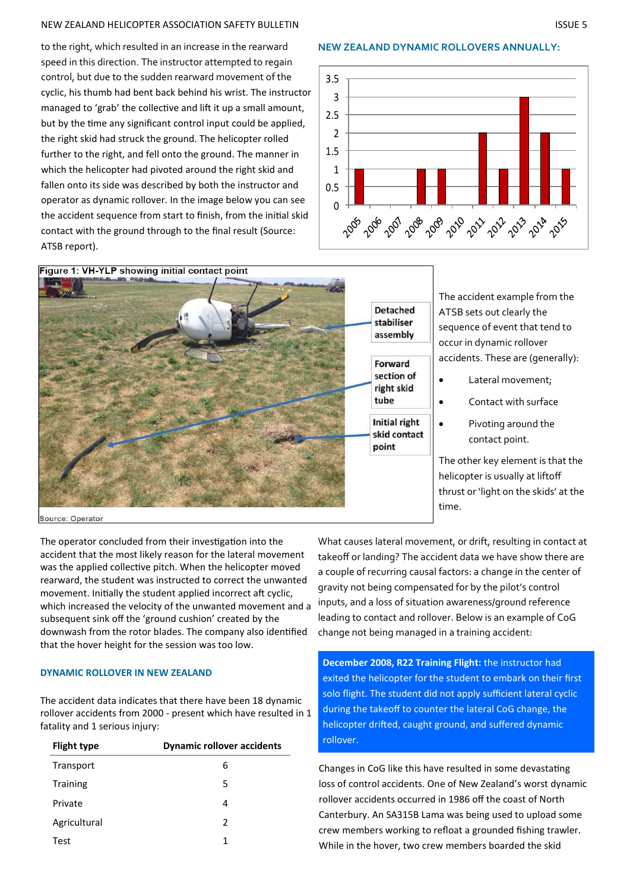#### NEW ZEALAND HELICOPTER ASSOCIATION SAFETY BULLETIN ISSUE 5

to the right, which resulted in an increase in the rearward speed in this direction. The instructor attempted to regain control, but due to the sudden rearward movement of the cyclic, his thumb had bent back behind his wrist. The instructor managed to 'grab' the collective and lift it up a small amount, but by the time any significant control input could be applied, the right skid had struck the ground. The helicopter rolled further to the right, and fell onto the ground. The manner in which the helicopter had pivoted around the right skid and fallen onto its side was described by both the instructor and operator as dynamic rollover. In the image below you can see the accident sequence from start to finish, from the initial skid contact with the ground through to the final result (Source: ATSB report).

#### **NEW ZEALAND DYNAMIC ROLLOVERS ANNUALLY:**





The accident example from the ATSB sets out clearly the sequence of event that tend to occur in dynamic rollover accidents. These are (generally):

- Lateral movement;
- Contact with surface
- Pivoting around the contact point.

The other key element is that the helicopter is usually at liftoff thrust or 'light on the skids' at the time.

Source: Operator

The operator concluded from their investigation into the accident that the most likely reason for the lateral movement was the applied collective pitch. When the helicopter moved rearward, the student was instructed to correct the unwanted movement. Initially the student applied incorrect aft cyclic, which increased the velocity of the unwanted movement and a subsequent sink off the 'ground cushion' created by the downwash from the rotor blades. The company also identified that the hover height for the session was too low.

### **DYNAMIC ROLLOVER IN NEW ZEALAND**

The accident data indicates that there have been 18 dynamic rollover accidents from 2000 - present which have resulted in 1 fatality and 1 serious injury:

| <b>Flight type</b> | <b>Dynamic rollover accidents</b> |
|--------------------|-----------------------------------|
| Transport          | 6                                 |
| <b>Training</b>    | 5                                 |
| Private            | 4                                 |
| Agricultural       | 2                                 |
| Test               | 1                                 |

What causes lateral movement, or drift, resulting in contact at takeoff or landing? The accident data we have show there are a couple of recurring causal factors: a change in the center of gravity not being compensated for by the pilot's control inputs, and a loss of situation awareness/ground reference leading to contact and rollover. Below is an example of CoG change not being managed in a training accident:

**December 2008, R22 Training Flight:** the instructor had exited the helicopter for the student to embark on their first solo flight. The student did not apply sufficient lateral cyclic during the takeoff to counter the lateral CoG change, the helicopter drifted, caught ground, and suffered dynamic rollover.

Changes in CoG like this have resulted in some devastating loss of control accidents. One of New Zealand's worst dynamic rollover accidents occurred in 1986 off the coast of North Canterbury. An SA315B Lama was being used to upload some crew members working to refloat a grounded fishing trawler. While in the hover, two crew members boarded the skid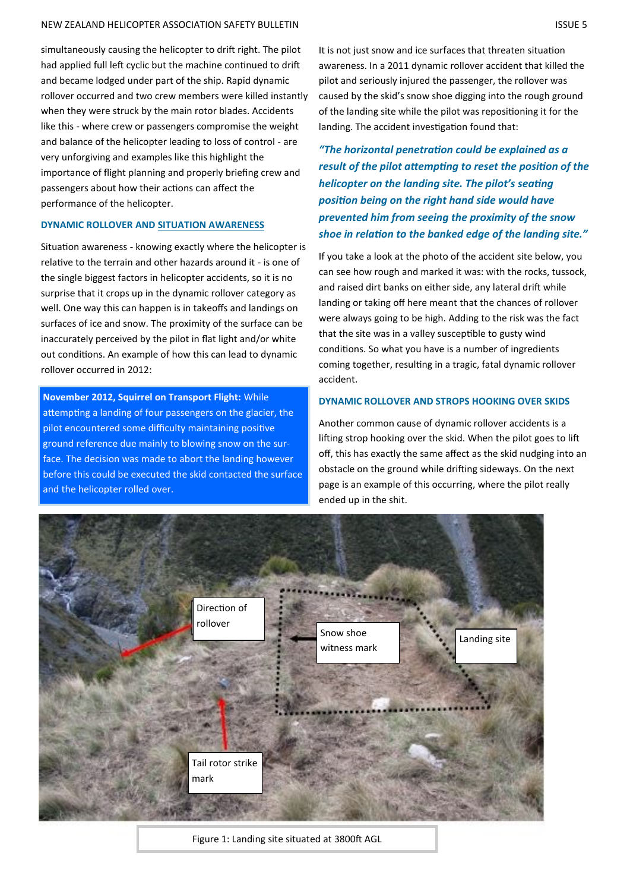#### NEW ZEALAND HELICOPTER ASSOCIATION SAFETY BULLETIN ISSUE 5

simultaneously causing the helicopter to drift right. The pilot had applied full left cyclic but the machine continued to drift and became lodged under part of the ship. Rapid dynamic rollover occurred and two crew members were killed instantly when they were struck by the main rotor blades. Accidents like this - where crew or passengers compromise the weight and balance of the helicopter leading to loss of control - are very unforgiving and examples like this highlight the importance of flight planning and properly briefing crew and passengers about how their actions can affect the performance of the helicopter.

## **DYNAMIC ROLLOVER AND SITUATION AWARENESS**

Situation awareness - knowing exactly where the helicopter is relative to the terrain and other hazards around it - is one of the single biggest factors in helicopter accidents, so it is no surprise that it crops up in the dynamic rollover category as well. One way this can happen is in takeoffs and landings on surfaces of ice and snow. The proximity of the surface can be inaccurately perceived by the pilot in flat light and/or white out conditions. An example of how this can lead to dynamic rollover occurred in 2012:

**November 2012, Squirrel on Transport Flight:** While attempting a landing of four passengers on the glacier, the pilot encountered some difficulty maintaining positive ground reference due mainly to blowing snow on the surface. The decision was made to abort the landing however before this could be executed the skid contacted the surface and the helicopter rolled over.

It is not just snow and ice surfaces that threaten situation awareness. In a 2011 dynamic rollover accident that killed the pilot and seriously injured the passenger, the rollover was caused by the skid's snow shoe digging into the rough ground of the landing site while the pilot was repositioning it for the landing. The accident investigation found that:

*"The horizontal penetration could be explained as a result of the pilot attempting to reset the position of the helicopter on the landing site. The pilot's seating position being on the right hand side would have prevented him from seeing the proximity of the snow shoe in relation to the banked edge of the landing site."*

If you take a look at the photo of the accident site below, you can see how rough and marked it was: with the rocks, tussock, and raised dirt banks on either side, any lateral drift while landing or taking off here meant that the chances of rollover were always going to be high. Adding to the risk was the fact that the site was in a valley susceptible to gusty wind conditions. So what you have is a number of ingredients coming together, resulting in a tragic, fatal dynamic rollover accident.

#### **DYNAMIC ROLLOVER AND STROPS HOOKING OVER SKIDS**

Another common cause of dynamic rollover accidents is a lifting strop hooking over the skid. When the pilot goes to lift off, this has exactly the same affect as the skid nudging into an obstacle on the ground while drifting sideways. On the next page is an example of this occurring, where the pilot really ended up in the shit.



Figure 1: Landing site situated at 3800ft AGL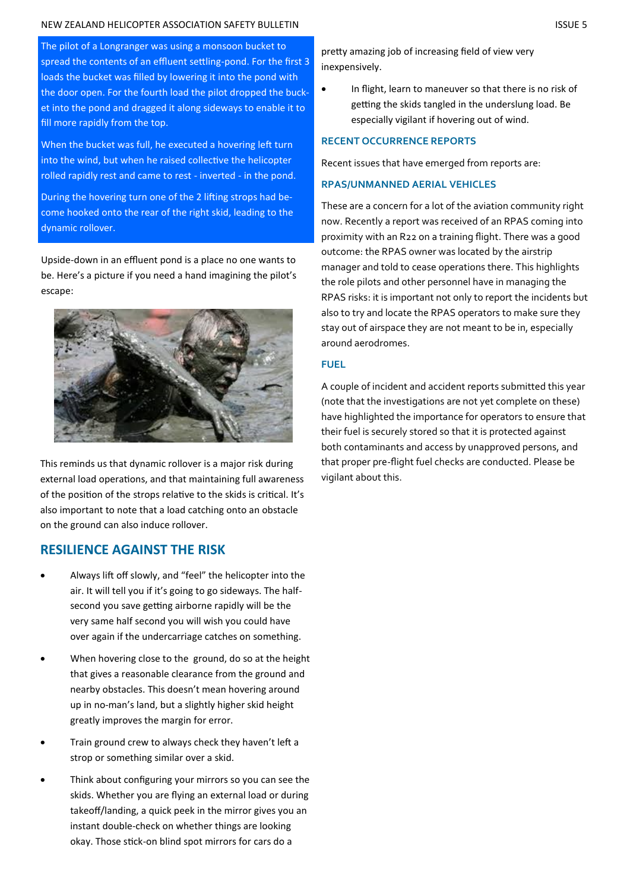#### NEW ZEALAND HELICOPTER ASSOCIATION SAFETY BULLETIN ISSUE 5

The pilot of a Longranger was using a monsoon bucket to spread the contents of an effluent settling-pond. For the first 3 loads the bucket was filled by lowering it into the pond with the door open. For the fourth load the pilot dropped the bucket into the pond and dragged it along sideways to enable it to fill more rapidly from the top.

When the bucket was full, he executed a hovering left turn into the wind, but when he raised collective the helicopter rolled rapidly rest and came to rest - inverted - in the pond.

During the hovering turn one of the 2 lifting strops had become hooked onto the rear of the right skid, leading to the dynamic rollover.

Upside-down in an effluent pond is a place no one wants to be. Here's a picture if you need a hand imagining the pilot's escape:



This reminds us that dynamic rollover is a major risk during external load operations, and that maintaining full awareness of the position of the strops relative to the skids is critical. It's also important to note that a load catching onto an obstacle on the ground can also induce rollover.

# **RESILIENCE AGAINST THE RISK**

- Always lift off slowly, and "feel" the helicopter into the air. It will tell you if it's going to go sideways. The halfsecond you save getting airborne rapidly will be the very same half second you will wish you could have over again if the undercarriage catches on something.
- When hovering close to the ground, do so at the height that gives a reasonable clearance from the ground and nearby obstacles. This doesn't mean hovering around up in no-man's land, but a slightly higher skid height greatly improves the margin for error.
- Train ground crew to always check they haven't left a strop or something similar over a skid.
- Think about configuring your mirrors so you can see the skids. Whether you are flying an external load or during takeoff/landing, a quick peek in the mirror gives you an instant double-check on whether things are looking okay. Those stick-on blind spot mirrors for cars do a

pretty amazing job of increasing field of view very inexpensively.

• In flight, learn to maneuver so that there is no risk of getting the skids tangled in the underslung load. Be especially vigilant if hovering out of wind.

### **RECENT OCCURRENCE REPORTS**

Recent issues that have emerged from reports are:

## **RPAS/UNMANNED AERIAL VEHICLES**

These are a concern for a lot of the aviation community right now. Recently a report was received of an RPAS coming into proximity with an R22 on a training flight. There was a good outcome: the RPAS owner was located by the airstrip manager and told to cease operations there. This highlights the role pilots and other personnel have in managing the RPAS risks: it is important not only to report the incidents but also to try and locate the RPAS operators to make sure they stay out of airspace they are not meant to be in, especially around aerodromes.

## **FUEL**

A couple of incident and accident reports submitted this year (note that the investigations are not yet complete on these) have highlighted the importance for operators to ensure that their fuel is securely stored so that it is protected against both contaminants and access by unapproved persons, and that proper pre-flight fuel checks are conducted. Please be vigilant about this.